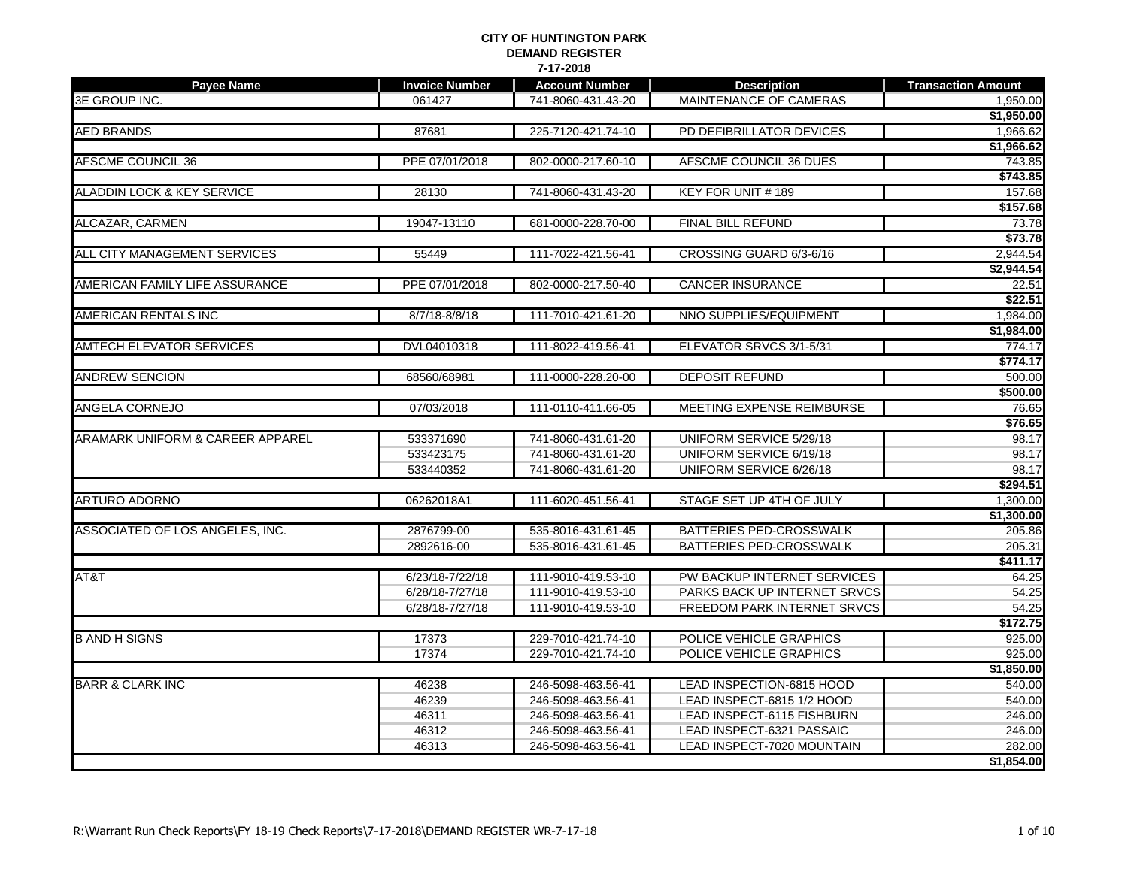| <b>Payee Name</b>                     | <b>Invoice Number</b> | <b>Account Number</b> | <b>Description</b>               | <b>Transaction Amount</b> |
|---------------------------------------|-----------------------|-----------------------|----------------------------------|---------------------------|
| <b>3E GROUP INC.</b>                  | 061427                | 741-8060-431.43-20    | MAINTENANCE OF CAMERAS           | 1,950.00                  |
|                                       |                       |                       |                                  | \$1,950.00                |
| <b>AED BRANDS</b>                     | 87681                 | 225-7120-421.74-10    | PD DEFIBRILLATOR DEVICES         | 1,966.62                  |
|                                       |                       |                       |                                  | \$1,966.62                |
| AFSCME COUNCIL 36                     | PPE 07/01/2018        | 802-0000-217.60-10    | AFSCME COUNCIL 36 DUES           | 743.85                    |
|                                       |                       |                       |                                  | \$743.85                  |
| <b>ALADDIN LOCK &amp; KEY SERVICE</b> | 28130                 | 741-8060-431.43-20    | KEY FOR UNIT #189                | 157.68                    |
|                                       |                       |                       |                                  | \$157.68                  |
| ALCAZAR, CARMEN                       | 19047-13110           | 681-0000-228.70-00    | FINAL BILL REFUND                | 73.78                     |
|                                       |                       |                       |                                  | \$73.78                   |
| ALL CITY MANAGEMENT SERVICES          | 55449                 | 111-7022-421.56-41    | CROSSING GUARD 6/3-6/16          | 2,944.54                  |
|                                       |                       |                       |                                  | \$2,944.54                |
| AMERICAN FAMILY LIFE ASSURANCE        | PPE 07/01/2018        | 802-0000-217.50-40    | <b>CANCER INSURANCE</b>          | 22.51                     |
|                                       |                       |                       |                                  | \$22.51                   |
| AMERICAN RENTALS INC                  | 8/7/18-8/8/18         | 111-7010-421.61-20    | NNO SUPPLIES/EQUIPMENT           | 1,984.00                  |
|                                       |                       |                       |                                  | \$1,984.00                |
| <b>AMTECH ELEVATOR SERVICES</b>       | DVL04010318           | 111-8022-419.56-41    | ELEVATOR SRVCS 3/1-5/31          | 774.17                    |
| <b>ANDREW SENCION</b>                 | 68560/68981           | 111-0000-228.20-00    | <b>DEPOSIT REFUND</b>            | \$774.17<br>500.00        |
|                                       |                       |                       |                                  | \$500.00                  |
| <b>ANGELA CORNEJO</b>                 | 07/03/2018            | 111-0110-411.66-05    | <b>MEETING EXPENSE REIMBURSE</b> | 76.65                     |
|                                       |                       |                       |                                  | \$76.65                   |
| ARAMARK UNIFORM & CAREER APPAREL      | 533371690             | 741-8060-431.61-20    | UNIFORM SERVICE 5/29/18          | 98.17                     |
|                                       | 533423175             | 741-8060-431.61-20    | UNIFORM SERVICE 6/19/18          | 98.17                     |
|                                       | 533440352             | 741-8060-431.61-20    | UNIFORM SERVICE 6/26/18          | 98.17                     |
|                                       |                       |                       |                                  | \$294.51                  |
| <b>ARTURO ADORNO</b>                  | 06262018A1            | 111-6020-451.56-41    | STAGE SET UP 4TH OF JULY         | 1.300.00                  |
|                                       |                       |                       |                                  | \$1,300.00                |
| ASSOCIATED OF LOS ANGELES. INC.       | 2876799-00            | 535-8016-431.61-45    | <b>BATTERIES PED-CROSSWALK</b>   | 205.86                    |
|                                       | 2892616-00            | 535-8016-431.61-45    | BATTERIES PED-CROSSWALK          | 205.31                    |
|                                       |                       |                       |                                  | \$411.17                  |
| AT&T                                  | 6/23/18-7/22/18       | 111-9010-419.53-10    | PW BACKUP INTERNET SERVICES      | 64.25                     |
|                                       | 6/28/18-7/27/18       | 111-9010-419.53-10    | PARKS BACK UP INTERNET SRVCS     | 54.25                     |
|                                       | 6/28/18-7/27/18       | 111-9010-419.53-10    | FREEDOM PARK INTERNET SRVCS      | 54.25                     |
|                                       |                       |                       |                                  | \$172.75                  |
| <b>B AND H SIGNS</b>                  | 17373                 | 229-7010-421.74-10    | POLICE VEHICLE GRAPHICS          | 925.00                    |
|                                       | 17374                 | 229-7010-421.74-10    | POLICE VEHICLE GRAPHICS          | 925.00                    |
|                                       |                       |                       |                                  | \$1,850.00                |
| <b>BARR &amp; CLARK INC</b>           | 46238                 | 246-5098-463.56-41    | LEAD INSPECTION-6815 HOOD        | 540.00                    |
|                                       | 46239                 | 246-5098-463.56-41    | LEAD INSPECT-6815 1/2 HOOD       | 540.00                    |
|                                       | 46311                 | 246-5098-463.56-41    | LEAD INSPECT-6115 FISHBURN       | 246.00                    |
|                                       | 46312                 | 246-5098-463.56-41    | LEAD INSPECT-6321 PASSAIC        | 246.00                    |
|                                       | 46313                 | 246-5098-463.56-41    | LEAD INSPECT-7020 MOUNTAIN       | 282.00                    |
|                                       |                       |                       |                                  | \$1,854.00                |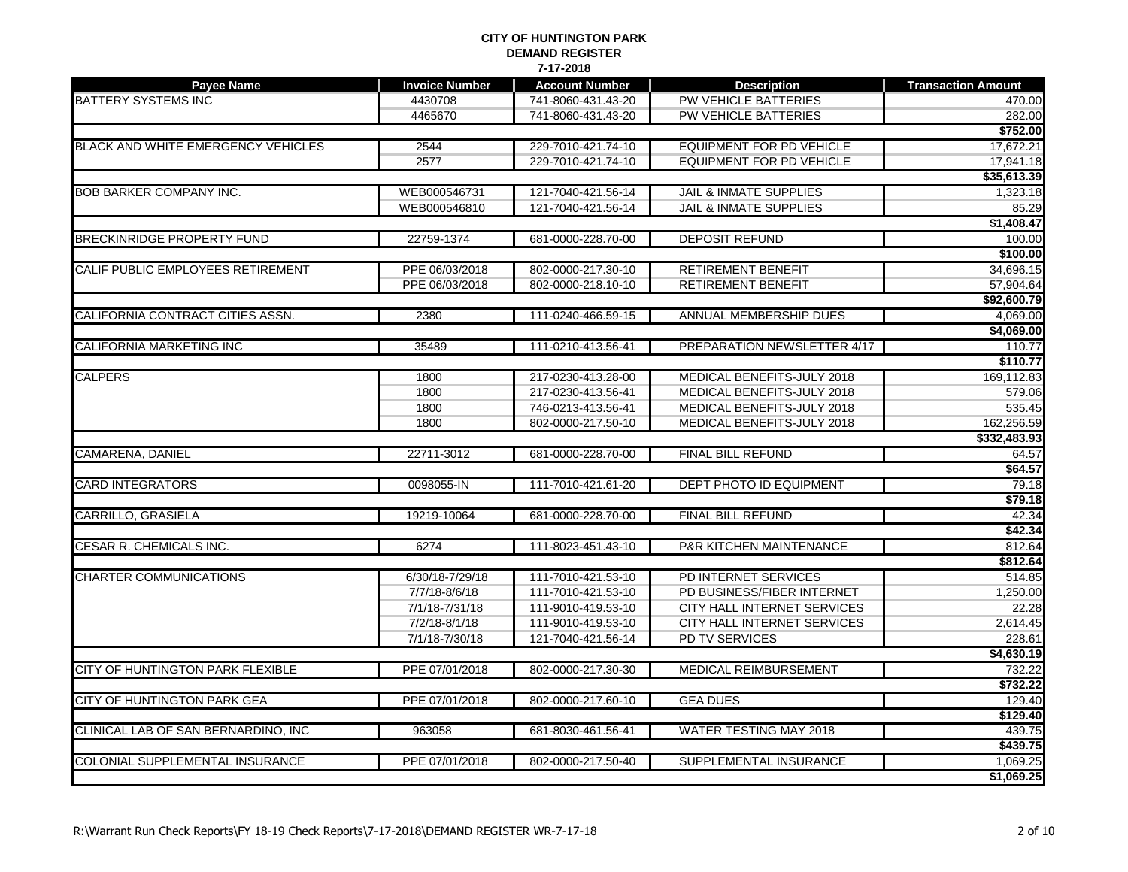| Payee Name                                | <b>Invoice Number</b> | <b>Account Number</b> | <b>Description</b>                | <b>Transaction Amount</b> |
|-------------------------------------------|-----------------------|-----------------------|-----------------------------------|---------------------------|
| <b>BATTERY SYSTEMS INC</b>                | 4430708               | 741-8060-431.43-20    | PW VEHICLE BATTERIES              | 470.00                    |
|                                           | 4465670               | 741-8060-431.43-20    | PW VEHICLE BATTERIES              | 282.00                    |
|                                           |                       |                       |                                   | \$752.00                  |
| <b>BLACK AND WHITE EMERGENCY VEHICLES</b> | 2544                  | 229-7010-421.74-10    | <b>EQUIPMENT FOR PD VEHICLE</b>   | 17,672.21                 |
|                                           | 2577                  | 229-7010-421.74-10    | <b>EQUIPMENT FOR PD VEHICLE</b>   | 17,941.18                 |
|                                           |                       |                       |                                   | \$35,613.39               |
| <b>BOB BARKER COMPANY INC.</b>            | WEB000546731          | 121-7040-421.56-14    | <b>JAIL &amp; INMATE SUPPLIES</b> | 1,323.18                  |
|                                           | WEB000546810          | 121-7040-421.56-14    | <b>JAIL &amp; INMATE SUPPLIES</b> | 85.29                     |
|                                           |                       |                       |                                   | \$1,408.47                |
| <b>BRECKINRIDGE PROPERTY FUND</b>         | 22759-1374            | 681-0000-228.70-00    | <b>DEPOSIT REFUND</b>             | 100.00                    |
|                                           |                       |                       |                                   | \$100.00                  |
| CALIF PUBLIC EMPLOYEES RETIREMENT         | PPE 06/03/2018        | 802-0000-217.30-10    | <b>RETIREMENT BENEFIT</b>         | 34.696.15                 |
|                                           | PPE 06/03/2018        | 802-0000-218.10-10    | RETIREMENT BENEFIT                | 57,904.64                 |
|                                           |                       |                       |                                   | \$92,600.79               |
| CALIFORNIA CONTRACT CITIES ASSN.          | 2380                  | 111-0240-466.59-15    | ANNUAL MEMBERSHIP DUES            | 4,069.00                  |
|                                           |                       |                       |                                   | \$4,069.00                |
| CALIFORNIA MARKETING INC                  | 35489                 | 111-0210-413.56-41    | PREPARATION NEWSLETTER 4/17       | 110.77                    |
|                                           |                       |                       |                                   | \$110.77                  |
| <b>CALPERS</b>                            | 1800                  | 217-0230-413.28-00    | MEDICAL BENEFITS-JULY 2018        | 169,112.83                |
|                                           | 1800                  | 217-0230-413.56-41    | MEDICAL BENEFITS-JULY 2018        | 579.06                    |
|                                           | 1800                  | 746-0213-413.56-41    | MEDICAL BENEFITS-JULY 2018        | 535.45                    |
|                                           | 1800                  | 802-0000-217.50-10    | MEDICAL BENEFITS-JULY 2018        | 162,256.59                |
|                                           |                       |                       |                                   | \$332,483.93              |
| CAMARENA, DANIEL                          | 22711-3012            | 681-0000-228.70-00    | FINAL BILL REFUND                 | 64.57                     |
| <b>CARD INTEGRATORS</b>                   | 0098055-IN            | 111-7010-421.61-20    | DEPT PHOTO ID EQUIPMENT           | \$64.57<br>79.18          |
|                                           |                       |                       |                                   | \$79.18                   |
| CARRILLO, GRASIELA                        | 19219-10064           | 681-0000-228.70-00    | FINAL BILL REFUND                 | 42.34                     |
|                                           |                       |                       |                                   | \$42.34                   |
| CESAR R. CHEMICALS INC.                   | 6274                  | 111-8023-451.43-10    | P&R KITCHEN MAINTENANCE           | 812.64                    |
|                                           |                       |                       |                                   | \$812.64                  |
| <b>CHARTER COMMUNICATIONS</b>             | 6/30/18-7/29/18       | 111-7010-421.53-10    | PD INTERNET SERVICES              | 514.85                    |
|                                           | 7/7/18-8/6/18         | 111-7010-421.53-10    | PD BUSINESS/FIBER INTERNET        | 1,250.00                  |
|                                           | 7/1/18-7/31/18        | 111-9010-419.53-10    | CITY HALL INTERNET SERVICES       | 22.28                     |
|                                           | 7/2/18-8/1/18         | 111-9010-419.53-10    | CITY HALL INTERNET SERVICES       | 2,614.45                  |
|                                           | 7/1/18-7/30/18        | 121-7040-421.56-14    | PD TV SERVICES                    | 228.61                    |
|                                           |                       |                       |                                   | \$4,630.19                |
| <b>CITY OF HUNTINGTON PARK FLEXIBLE</b>   | PPE 07/01/2018        | 802-0000-217.30-30    | MEDICAL REIMBURSEMENT             | 732.22                    |
|                                           |                       |                       |                                   | \$732.22                  |
| <b>CITY OF HUNTINGTON PARK GEA</b>        | PPE 07/01/2018        | 802-0000-217.60-10    | <b>GEA DUES</b>                   | 129.40                    |
|                                           |                       |                       |                                   | \$129.40                  |
| CLINICAL LAB OF SAN BERNARDINO, INC       | 963058                | 681-8030-461.56-41    | <b>WATER TESTING MAY 2018</b>     | 439.75                    |
|                                           |                       |                       |                                   | \$439.75                  |
| <b>COLONIAL SUPPLEMENTAL INSURANCE</b>    | PPE 07/01/2018        | 802-0000-217.50-40    | SUPPLEMENTAL INSURANCE            | 1,069.25                  |
|                                           |                       |                       |                                   | \$1,069.25                |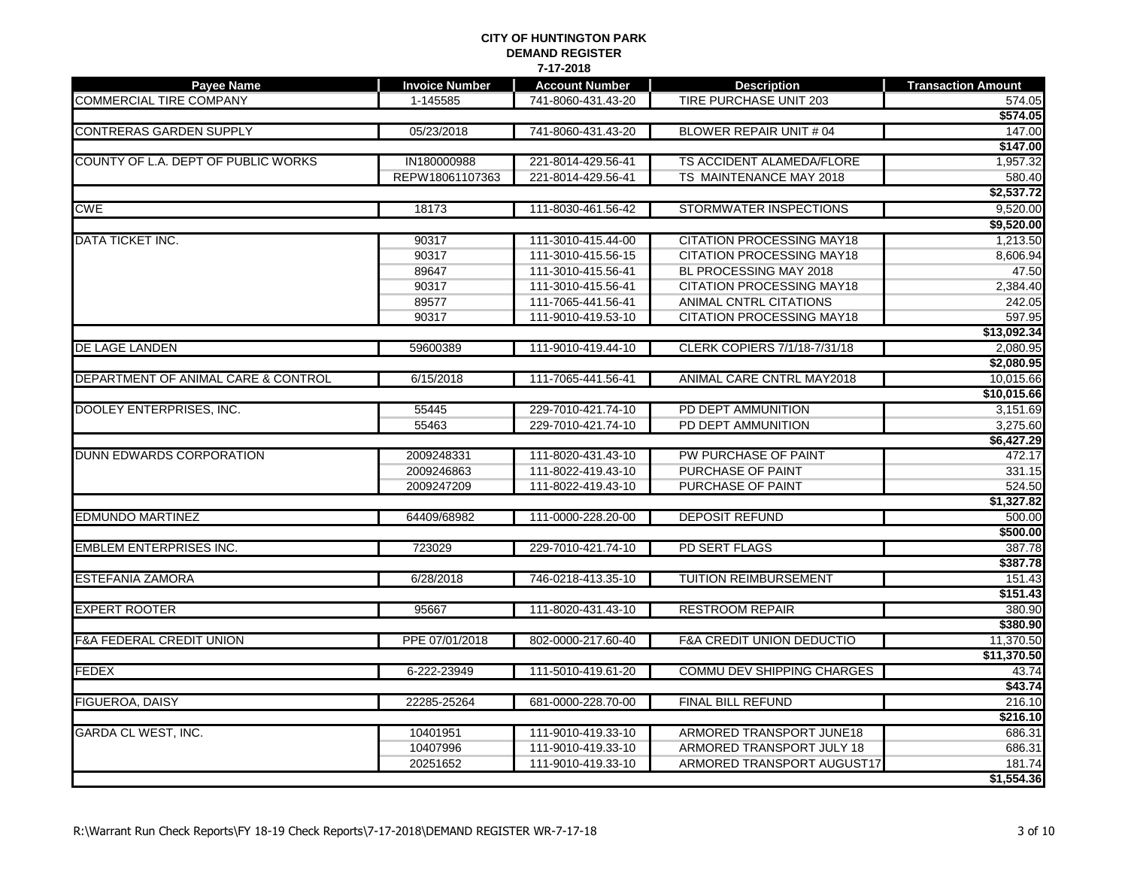| Payee Name                          | <b>Invoice Number</b> | <b>Account Number</b>                    | <b>Description</b>                                                   | <b>Transaction Amount</b> |
|-------------------------------------|-----------------------|------------------------------------------|----------------------------------------------------------------------|---------------------------|
| COMMERCIAL TIRE COMPANY             | 1-145585              | 741-8060-431.43-20                       | TIRE PURCHASE UNIT 203                                               | 574.05                    |
|                                     |                       |                                          |                                                                      | \$574.05                  |
| CONTRERAS GARDEN SUPPLY             | 05/23/2018            | 741-8060-431.43-20                       | BLOWER REPAIR UNIT # 04                                              | 147.00                    |
|                                     |                       |                                          |                                                                      | \$147.00                  |
| COUNTY OF L.A. DEPT OF PUBLIC WORKS | IN180000988           | 221-8014-429.56-41                       | TS ACCIDENT ALAMEDA/FLORE                                            | 1,957.32                  |
|                                     | REPW18061107363       | 221-8014-429.56-41                       | TS MAINTENANCE MAY 2018                                              | 580.40                    |
|                                     |                       |                                          |                                                                      | \$2,537.72                |
| <b>CWE</b>                          | 18173                 | 111-8030-461.56-42                       | STORMWATER INSPECTIONS                                               | 9,520.00                  |
| <b>DATA TICKET INC.</b>             |                       |                                          |                                                                      | \$9,520.00                |
|                                     | 90317<br>90317        | 111-3010-415.44-00<br>111-3010-415.56-15 | <b>CITATION PROCESSING MAY18</b><br><b>CITATION PROCESSING MAY18</b> | 1,213.50                  |
|                                     | 89647                 | 111-3010-415.56-41                       | BL PROCESSING MAY 2018                                               | 8,606.94<br>47.50         |
|                                     | 90317                 | 111-3010-415.56-41                       | <b>CITATION PROCESSING MAY18</b>                                     | 2,384.40                  |
|                                     | 89577                 | 111-7065-441.56-41                       | ANIMAL CNTRL CITATIONS                                               | 242.05                    |
|                                     | 90317                 | 111-9010-419.53-10                       | <b>CITATION PROCESSING MAY18</b>                                     | 597.95                    |
|                                     |                       |                                          |                                                                      | \$13,092.34               |
| DE LAGE LANDEN                      | 59600389              | 111-9010-419.44-10                       | <b>CLERK COPIERS 7/1/18-7/31/18</b>                                  | 2,080.95                  |
|                                     |                       |                                          |                                                                      | \$2,080.95                |
| DEPARTMENT OF ANIMAL CARE & CONTROL | 6/15/2018             | 111-7065-441.56-41                       | ANIMAL CARE CNTRL MAY2018                                            | 10,015.66                 |
|                                     |                       |                                          |                                                                      | \$10,015.66               |
| DOOLEY ENTERPRISES, INC.            | 55445                 | 229-7010-421.74-10                       | PD DEPT AMMUNITION                                                   | 3,151.69                  |
|                                     | 55463                 | 229-7010-421.74-10                       | PD DEPT AMMUNITION                                                   | 3,275.60                  |
|                                     |                       |                                          |                                                                      | \$6,427.29                |
| DUNN EDWARDS CORPORATION            | 2009248331            | 111-8020-431.43-10                       | PW PURCHASE OF PAINT                                                 | 472.17                    |
|                                     | 2009246863            | 111-8022-419.43-10                       | PURCHASE OF PAINT                                                    | 331.15                    |
|                                     | 2009247209            | 111-8022-419.43-10                       | PURCHASE OF PAINT                                                    | 524.50                    |
|                                     |                       |                                          |                                                                      | \$1,327.82                |
| <b>EDMUNDO MARTINEZ</b>             | 64409/68982           | 111-0000-228.20-00                       | <b>DEPOSIT REFUND</b>                                                | 500.00                    |
|                                     |                       |                                          |                                                                      | \$500.00                  |
| EMBLEM ENTERPRISES INC.             | 723029                | 229-7010-421.74-10                       | PD SERT FLAGS                                                        | 387.78<br>\$387.78        |
| <b>ESTEFANIA ZAMORA</b>             | 6/28/2018             | 746-0218-413.35-10                       | <b>TUITION REIMBURSEMENT</b>                                         | 151.43                    |
|                                     |                       |                                          |                                                                      | \$151.43                  |
| <b>EXPERT ROOTER</b>                | 95667                 | 111-8020-431.43-10                       | <b>RESTROOM REPAIR</b>                                               | 380.90                    |
|                                     |                       |                                          |                                                                      | \$380.90                  |
| F&A FEDERAL CREDIT UNION            | PPE 07/01/2018        | 802-0000-217.60-40                       | <b>F&amp;A CREDIT UNION DEDUCTIO</b>                                 | 11,370.50                 |
|                                     |                       |                                          |                                                                      | \$11,370.50               |
| <b>FEDEX</b>                        | 6-222-23949           | 111-5010-419.61-20                       | COMMU DEV SHIPPING CHARGES                                           | 43.74                     |
|                                     |                       |                                          |                                                                      | \$43.74                   |
| FIGUEROA, DAISY                     | 22285-25264           | 681-0000-228.70-00                       | <b>FINAL BILL REFUND</b>                                             | 216.10                    |
|                                     |                       |                                          |                                                                      | \$216.10                  |
| <b>GARDA CL WEST, INC.</b>          | 10401951              | 111-9010-419.33-10                       | ARMORED TRANSPORT JUNE18                                             | 686.31                    |
|                                     | 10407996              | 111-9010-419.33-10                       | ARMORED TRANSPORT JULY 18                                            | 686.31                    |
|                                     | 20251652              | 111-9010-419.33-10                       | ARMORED TRANSPORT AUGUST17                                           | 181.74                    |
|                                     |                       |                                          |                                                                      | \$1,554.36                |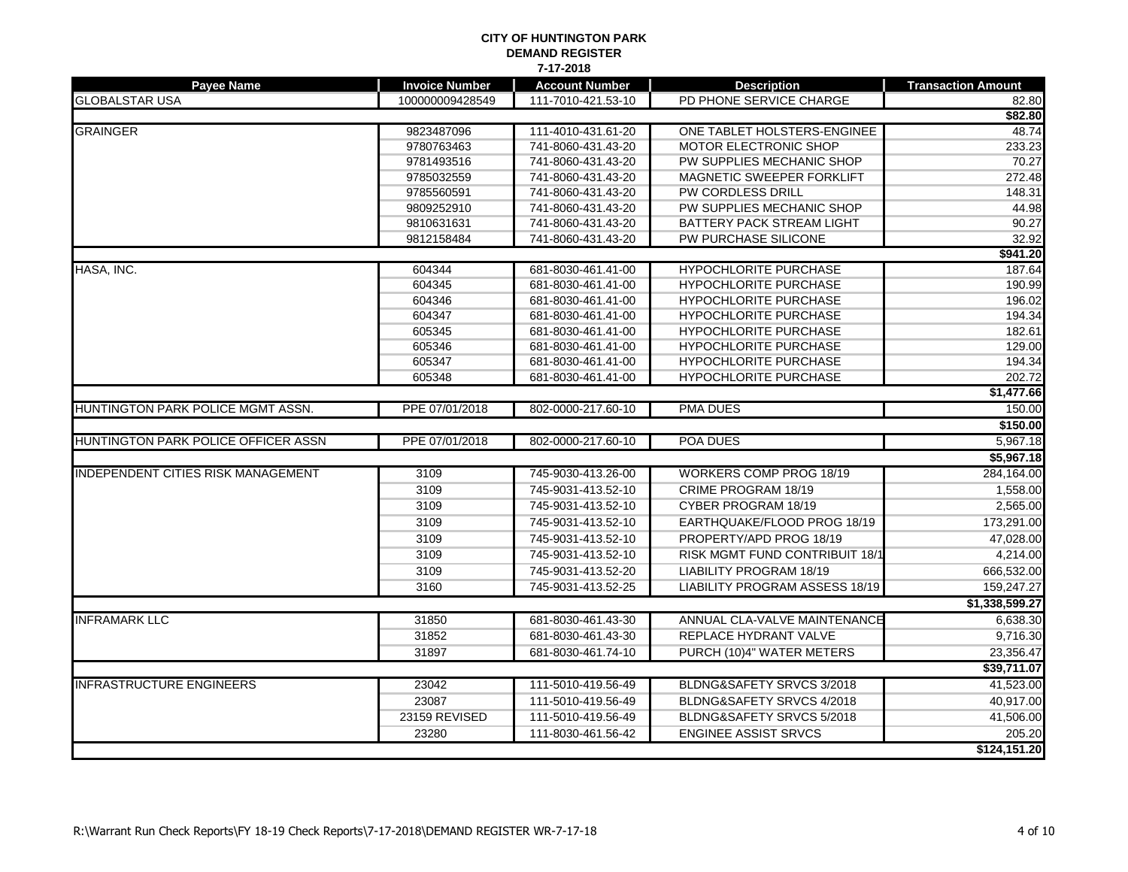| Payee Name                                | <b>Invoice Number</b> | <b>Account Number</b> | <b>Description</b>                    | <b>Transaction Amount</b> |
|-------------------------------------------|-----------------------|-----------------------|---------------------------------------|---------------------------|
| <b>GLOBALSTAR USA</b>                     | 100000009428549       | 111-7010-421.53-10    | PD PHONE SERVICE CHARGE               | 82.80                     |
|                                           |                       |                       |                                       | \$82.80                   |
| <b>GRAINGER</b>                           | 9823487096            | 111-4010-431.61-20    | ONE TABLET HOLSTERS-ENGINEE           | 48.74                     |
|                                           | 9780763463            | 741-8060-431.43-20    | MOTOR ELECTRONIC SHOP                 | 233.23                    |
|                                           | 9781493516            | 741-8060-431.43-20    | PW SUPPLIES MECHANIC SHOP             | 70.27                     |
|                                           | 9785032559            | 741-8060-431.43-20    | MAGNETIC SWEEPER FORKLIFT             | 272.48                    |
|                                           | 9785560591            | 741-8060-431.43-20    | PW CORDLESS DRILL                     | 148.31                    |
|                                           | 9809252910            | 741-8060-431.43-20    | PW SUPPLIES MECHANIC SHOP             | 44.98                     |
|                                           | 9810631631            | 741-8060-431.43-20    | BATTERY PACK STREAM LIGHT             | 90.27                     |
|                                           | 9812158484            | 741-8060-431.43-20    | PW PURCHASE SILICONE                  | 32.92                     |
|                                           |                       |                       |                                       | \$941.20                  |
| HASA, INC.                                | 604344                | 681-8030-461.41-00    | HYPOCHLORITE PURCHASE                 | 187.64                    |
|                                           | 604345                | 681-8030-461.41-00    | HYPOCHLORITE PURCHASE                 | 190.99                    |
|                                           | 604346                | 681-8030-461.41-00    | HYPOCHLORITE PURCHASE                 | 196.02                    |
|                                           | 604347                | 681-8030-461.41-00    | <b>HYPOCHLORITE PURCHASE</b>          | 194.34                    |
|                                           | 605345                | 681-8030-461.41-00    | <b>HYPOCHLORITE PURCHASE</b>          | 182.61                    |
|                                           | 605346                | 681-8030-461.41-00    | <b>HYPOCHLORITE PURCHASE</b>          | 129.00                    |
|                                           | 605347                | 681-8030-461.41-00    | <b>HYPOCHLORITE PURCHASE</b>          | 194.34                    |
|                                           | 605348                | 681-8030-461.41-00    | HYPOCHLORITE PURCHASE                 | 202.72                    |
|                                           |                       |                       |                                       | \$1,477.66                |
| HUNTINGTON PARK POLICE MGMT ASSN.         | PPE 07/01/2018        | 802-0000-217.60-10    | <b>PMA DUES</b>                       | 150.00                    |
|                                           |                       |                       |                                       | \$150.00                  |
| HUNTINGTON PARK POLICE OFFICER ASSN       | PPE 07/01/2018        | 802-0000-217.60-10    | POA DUES                              | 5,967.18                  |
|                                           |                       |                       |                                       | \$5,967.18                |
| <b>INDEPENDENT CITIES RISK MANAGEMENT</b> | 3109                  | 745-9030-413.26-00    | WORKERS COMP PROG 18/19               | 284,164.00                |
|                                           | 3109                  | 745-9031-413.52-10    | CRIME PROGRAM 18/19                   | 1,558.00                  |
|                                           | 3109                  | 745-9031-413.52-10    | CYBER PROGRAM 18/19                   | 2,565.00                  |
|                                           | 3109                  | 745-9031-413.52-10    | EARTHQUAKE/FLOOD PROG 18/19           | 173,291.00                |
|                                           | 3109                  | 745-9031-413.52-10    | PROPERTY/APD PROG 18/19               | 47,028.00                 |
|                                           | 3109                  | 745-9031-413.52-10    | <b>RISK MGMT FUND CONTRIBUIT 18/1</b> | 4,214.00                  |
|                                           | 3109                  | 745-9031-413.52-20    | LIABILITY PROGRAM 18/19               | 666,532.00                |
|                                           | 3160                  | 745-9031-413.52-25    | LIABILITY PROGRAM ASSESS 18/19        | 159,247.27                |
|                                           |                       |                       |                                       | \$1,338,599.27            |
| <b>INFRAMARK LLC</b>                      | 31850                 | 681-8030-461.43-30    | ANNUAL CLA-VALVE MAINTENANCE          | 6,638.30                  |
|                                           | 31852                 | 681-8030-461.43-30    | REPLACE HYDRANT VALVE                 | 9,716.30                  |
|                                           | 31897                 | 681-8030-461.74-10    | PURCH (10)4" WATER METERS             | 23,356.47                 |
|                                           |                       |                       |                                       | \$39,711.07               |
| <b>INFRASTRUCTURE ENGINEERS</b>           | 23042                 | 111-5010-419.56-49    | BLDNG&SAFETY SRVCS 3/2018             | 41,523.00                 |
|                                           |                       |                       |                                       |                           |
|                                           | 23087                 | 111-5010-419.56-49    | BLDNG&SAFETY SRVCS 4/2018             | 40,917.00                 |
|                                           | 23159 REVISED         | 111-5010-419.56-49    | BLDNG&SAFETY SRVCS 5/2018             | 41,506.00                 |
|                                           | 23280                 | 111-8030-461.56-42    | <b>ENGINEE ASSIST SRVCS</b>           | 205.20                    |
|                                           |                       |                       |                                       | \$124,151.20              |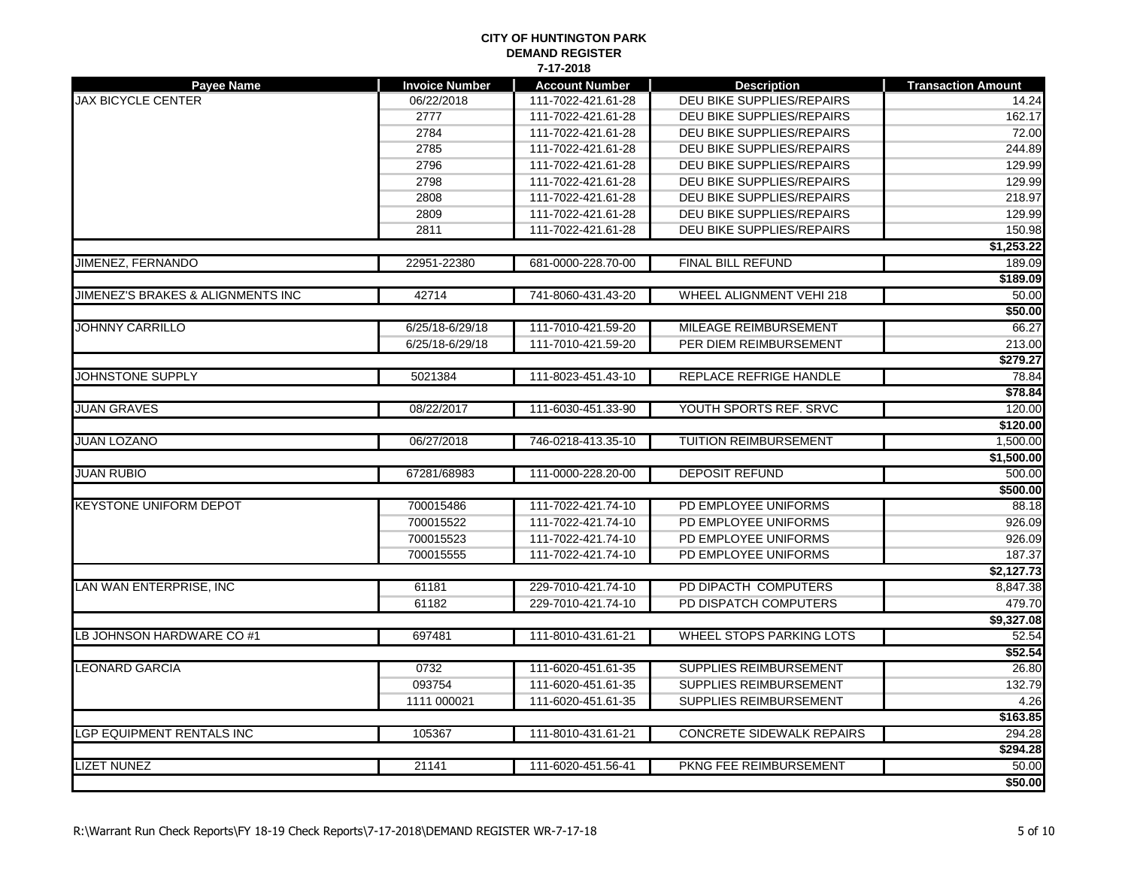|                                   |                       | .  בטוע               |                                  |                           |
|-----------------------------------|-----------------------|-----------------------|----------------------------------|---------------------------|
| Payee Name                        | <b>Invoice Number</b> | <b>Account Number</b> | <b>Description</b>               | <b>Transaction Amount</b> |
| <b>JAX BICYCLE CENTER</b>         | 06/22/2018            | 111-7022-421.61-28    | DEU BIKE SUPPLIES/REPAIRS        | 14.24                     |
|                                   | 2777                  | 111-7022-421.61-28    | DEU BIKE SUPPLIES/REPAIRS        | 162.17                    |
|                                   | 2784                  | 111-7022-421.61-28    | <b>DEU BIKE SUPPLIES/REPAIRS</b> | 72.00                     |
|                                   | 2785                  | 111-7022-421.61-28    | DEU BIKE SUPPLIES/REPAIRS        | 244.89                    |
|                                   | 2796                  | 111-7022-421.61-28    | DEU BIKE SUPPLIES/REPAIRS        | 129.99                    |
|                                   | 2798                  | 111-7022-421.61-28    | DEU BIKE SUPPLIES/REPAIRS        | 129.99                    |
|                                   | 2808                  | 111-7022-421.61-28    | DEU BIKE SUPPLIES/REPAIRS        | 218.97                    |
|                                   | 2809                  | 111-7022-421.61-28    | DEU BIKE SUPPLIES/REPAIRS        | 129.99                    |
|                                   | 2811                  | 111-7022-421.61-28    | DEU BIKE SUPPLIES/REPAIRS        | 150.98                    |
|                                   |                       |                       |                                  | \$1,253.22                |
| JIMENEZ, FERNANDO                 | 22951-22380           | 681-0000-228.70-00    | FINAL BILL REFUND                | 189.09                    |
|                                   |                       |                       |                                  | \$189.09                  |
| JIMENEZ'S BRAKES & ALIGNMENTS INC | 42714                 | 741-8060-431.43-20    | WHEEL ALIGNMENT VEHI 218         | 50.00                     |
|                                   |                       |                       |                                  | \$50.00                   |
| <b>JOHNNY CARRILLO</b>            | 6/25/18-6/29/18       | 111-7010-421.59-20    | MILEAGE REIMBURSEMENT            | 66.27                     |
|                                   | 6/25/18-6/29/18       | 111-7010-421.59-20    | PER DIEM REIMBURSEMENT           | 213.00                    |
|                                   |                       |                       |                                  | \$279.27                  |
| JOHNSTONE SUPPLY                  | 5021384               | 111-8023-451.43-10    | REPLACE REFRIGE HANDLE           | 78.84                     |
|                                   |                       |                       |                                  | \$78.84                   |
| JUAN GRAVES                       | 08/22/2017            | 111-6030-451.33-90    | YOUTH SPORTS REF. SRVC           | 120.00                    |
|                                   |                       |                       |                                  | \$120.00                  |
| JUAN LOZANO                       | 06/27/2018            | 746-0218-413.35-10    | <b>TUITION REIMBURSEMENT</b>     | 1,500.00                  |
|                                   |                       |                       |                                  | \$1,500.00                |
| <b>JUAN RUBIO</b>                 | 67281/68983           | 111-0000-228.20-00    | <b>DEPOSIT REFUND</b>            | 500.00                    |
|                                   |                       |                       |                                  | \$500.00                  |
| KEYSTONE UNIFORM DEPOT            | 700015486             | 111-7022-421.74-10    | PD EMPLOYEE UNIFORMS             | 88.18                     |
|                                   | 700015522             | 111-7022-421.74-10    | PD EMPLOYEE UNIFORMS             | 926.09                    |
|                                   | 700015523             | 111-7022-421.74-10    | PD EMPLOYEE UNIFORMS             | 926.09                    |
|                                   | 700015555             | 111-7022-421.74-10    | PD EMPLOYEE UNIFORMS             | 187.37                    |
|                                   |                       |                       |                                  | \$2,127.73                |
| LAN WAN ENTERPRISE, INC           | 61181                 | 229-7010-421.74-10    | PD DIPACTH COMPUTERS             | 8,847.38                  |
|                                   | 61182                 | 229-7010-421.74-10    | PD DISPATCH COMPUTERS            | 479.70                    |
|                                   |                       |                       |                                  | \$9,327.08                |
| <b>B JOHNSON HARDWARE CO #1</b>   | 697481                | 111-8010-431.61-21    | WHEEL STOPS PARKING LOTS         | 52.54                     |
|                                   |                       |                       |                                  | \$52.54                   |
| <b>LEONARD GARCIA</b>             | 0732                  | 111-6020-451.61-35    | SUPPLIES REIMBURSEMENT           | 26.80                     |
|                                   | 093754                | 111-6020-451.61-35    | SUPPLIES REIMBURSEMENT           | 132.79                    |
|                                   | 1111 000021           | 111-6020-451.61-35    | SUPPLIES REIMBURSEMENT           | 4.26                      |
|                                   |                       |                       |                                  | \$163.85                  |
| <b>GP EQUIPMENT RENTALS INC</b>   | 105367                | 111-8010-431.61-21    | <b>CONCRETE SIDEWALK REPAIRS</b> | 294.28                    |
|                                   |                       |                       |                                  | \$294.28                  |
| <b>LIZET NUNEZ</b>                | 21141                 | 111-6020-451.56-41    | PKNG FEE REIMBURSEMENT           | 50.00                     |
|                                   |                       |                       |                                  | \$50.00                   |
|                                   |                       |                       |                                  |                           |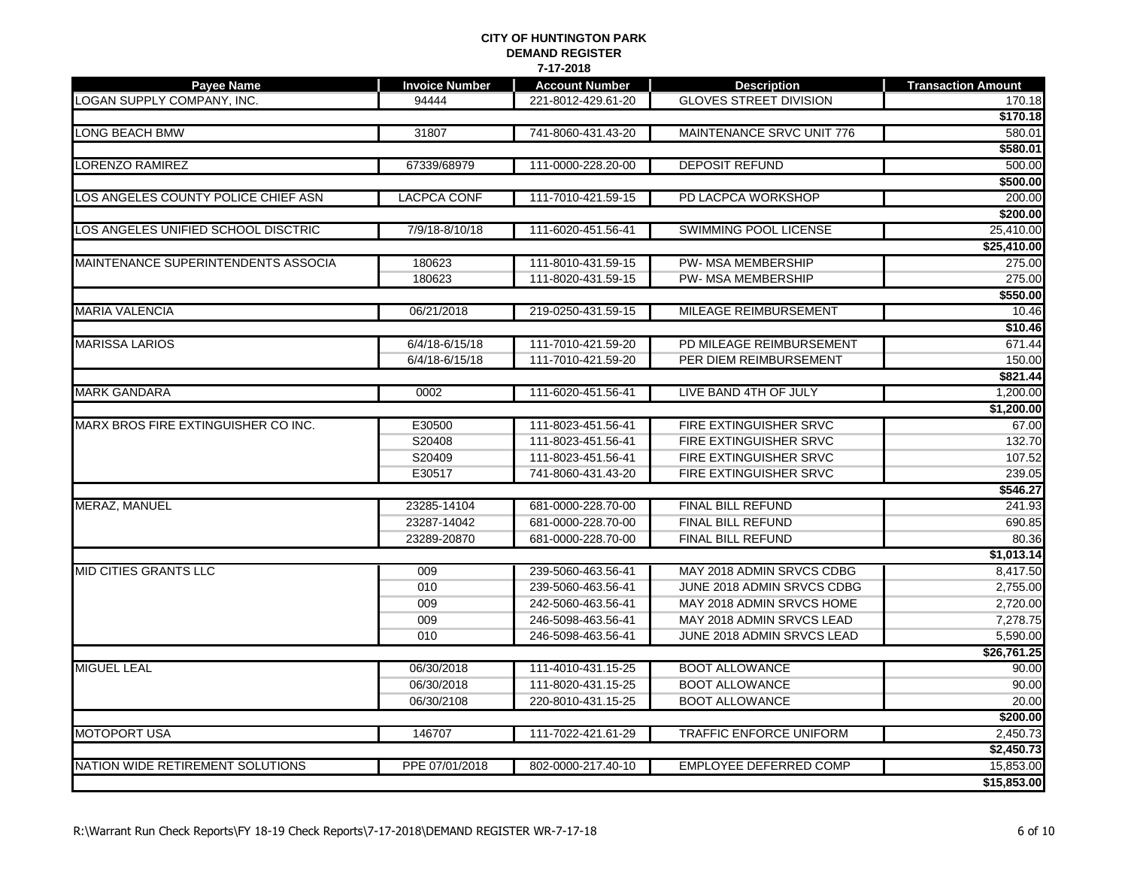| Payee Name                          | <b>Invoice Number</b> | <b>Account Number</b> | <b>Description</b>             | <b>Transaction Amount</b> |
|-------------------------------------|-----------------------|-----------------------|--------------------------------|---------------------------|
| <b>LOGAN SUPPLY COMPANY, INC.</b>   | 94444                 | 221-8012-429.61-20    | <b>GLOVES STREET DIVISION</b>  | 170.18                    |
|                                     |                       |                       |                                | \$170.18                  |
| LONG BEACH BMW                      | 31807                 | 741-8060-431.43-20    | MAINTENANCE SRVC UNIT 776      | 580.01                    |
|                                     |                       |                       |                                | \$580.01                  |
| LORENZO RAMIREZ                     | 67339/68979           | 111-0000-228.20-00    | <b>DEPOSIT REFUND</b>          | 500.00                    |
|                                     |                       |                       |                                | \$500.00                  |
| LOS ANGELES COUNTY POLICE CHIEF ASN | <b>LACPCA CONF</b>    | 111-7010-421.59-15    | PD LACPCA WORKSHOP             | 200.00                    |
|                                     |                       |                       |                                | \$200.00                  |
| LOS ANGELES UNIFIED SCHOOL DISCTRIC | 7/9/18-8/10/18        | 111-6020-451.56-41    | <b>SWIMMING POOL LICENSE</b>   | 25,410.00                 |
|                                     |                       |                       |                                | \$25,410.00               |
| MAINTENANCE SUPERINTENDENTS ASSOCIA | 180623                | 111-8010-431.59-15    | <b>PW-MSA MEMBERSHIP</b>       | 275.00                    |
|                                     | 180623                | 111-8020-431.59-15    | PW- MSA MEMBERSHIP             | 275.00                    |
|                                     |                       |                       |                                | \$550.00                  |
| <b>MARIA VALENCIA</b>               | 06/21/2018            | 219-0250-431.59-15    | MILEAGE REIMBURSEMENT          | 10.46                     |
|                                     |                       |                       |                                | \$10.46                   |
| <b>MARISSA LARIOS</b>               | 6/4/18-6/15/18        | 111-7010-421.59-20    | PD MILEAGE REIMBURSEMENT       | 671.44                    |
|                                     | 6/4/18-6/15/18        | 111-7010-421.59-20    | PER DIEM REIMBURSEMENT         | 150.00                    |
|                                     |                       |                       |                                | \$821.44                  |
| <b>MARK GANDARA</b>                 | 0002                  | 111-6020-451.56-41    | LIVE BAND 4TH OF JULY          | 1,200.00                  |
|                                     |                       |                       |                                | \$1,200.00                |
| MARX BROS FIRE EXTINGUISHER CO INC. | E30500                | 111-8023-451.56-41    | FIRE EXTINGUISHER SRVC         | 67.00                     |
|                                     | S20408                | 111-8023-451.56-41    | FIRE EXTINGUISHER SRVC         | 132.70                    |
|                                     | S20409                | 111-8023-451.56-41    | FIRE EXTINGUISHER SRVC         | 107.52                    |
|                                     | E30517                | 741-8060-431.43-20    | FIRE EXTINGUISHER SRVC         | 239.05                    |
|                                     |                       |                       |                                | \$546.27                  |
| <b>MERAZ, MANUEL</b>                | 23285-14104           | 681-0000-228.70-00    | FINAL BILL REFUND              | 241.93                    |
|                                     | 23287-14042           | 681-0000-228.70-00    | <b>FINAL BILL REFUND</b>       | 690.85                    |
|                                     | 23289-20870           | 681-0000-228.70-00    | FINAL BILL REFUND              | 80.36                     |
|                                     |                       |                       |                                | \$1,013.14                |
| <b>MID CITIES GRANTS LLC</b>        | 009                   | 239-5060-463.56-41    | MAY 2018 ADMIN SRVCS CDBG      | 8,417.50                  |
|                                     | 010                   | 239-5060-463.56-41    | JUNE 2018 ADMIN SRVCS CDBG     | 2,755.00                  |
|                                     | 009                   | 242-5060-463.56-41    | MAY 2018 ADMIN SRVCS HOME      | 2,720.00                  |
|                                     | 009                   | 246-5098-463.56-41    | MAY 2018 ADMIN SRVCS LEAD      | 7,278.75                  |
|                                     | 010                   | 246-5098-463.56-41    | JUNE 2018 ADMIN SRVCS LEAD     | 5,590.00                  |
|                                     |                       |                       |                                | \$26,761.25               |
| <b>MIGUEL LEAL</b>                  | 06/30/2018            | 111-4010-431.15-25    | <b>BOOT ALLOWANCE</b>          | 90.00                     |
|                                     | 06/30/2018            | 111-8020-431.15-25    | <b>BOOT ALLOWANCE</b>          | 90.00                     |
|                                     | 06/30/2108            | 220-8010-431.15-25    | <b>BOOT ALLOWANCE</b>          | 20.00                     |
|                                     |                       |                       |                                | \$200.00                  |
| <b>MOTOPORT USA</b>                 | 146707                | 111-7022-421.61-29    | <b>TRAFFIC ENFORCE UNIFORM</b> | 2,450.73                  |
|                                     |                       |                       |                                | \$2,450.73                |
| NATION WIDE RETIREMENT SOLUTIONS    | PPE 07/01/2018        | 802-0000-217.40-10    | EMPLOYEE DEFERRED COMP         | 15,853.00                 |
|                                     |                       |                       |                                | \$15,853.00               |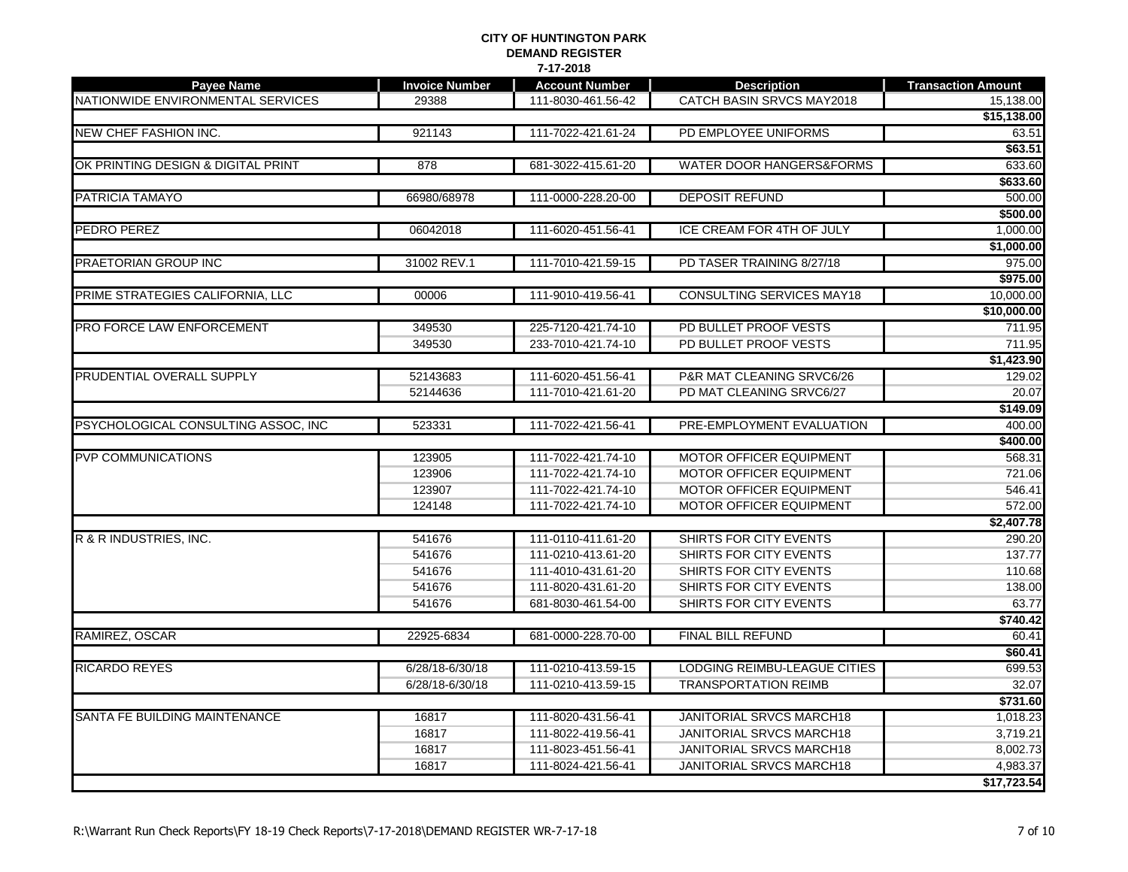| <b>Payee Name</b>                   | <b>Invoice Number</b> | <b>Account Number</b> | <b>Description</b>                  | <b>Transaction Amount</b> |
|-------------------------------------|-----------------------|-----------------------|-------------------------------------|---------------------------|
| NATIONWIDE ENVIRONMENTAL SERVICES   | 29388                 | 111-8030-461.56-42    | CATCH BASIN SRVCS MAY2018           | 15,138.00                 |
|                                     |                       |                       |                                     | \$15,138.00               |
| NEW CHEF FASHION INC.               | 921143                | 111-7022-421.61-24    | PD EMPLOYEE UNIFORMS                | 63.51                     |
|                                     |                       |                       |                                     | \$63.51                   |
| OK PRINTING DESIGN & DIGITAL PRINT  | 878                   | 681-3022-415.61-20    | <b>WATER DOOR HANGERS&amp;FORMS</b> | 633.60                    |
|                                     |                       |                       |                                     | \$633.60                  |
| PATRICIA TAMAYO                     | 66980/68978           | 111-0000-228.20-00    | <b>DEPOSIT REFUND</b>               | 500.00                    |
|                                     |                       |                       |                                     | \$500.00                  |
| <b>PEDRO PEREZ</b>                  | 06042018              | 111-6020-451.56-41    | ICE CREAM FOR 4TH OF JULY           | 1,000.00                  |
|                                     |                       |                       |                                     | \$1,000.00                |
| <b>PRAETORIAN GROUP INC</b>         | 31002 REV.1           | 111-7010-421.59-15    | PD TASER TRAINING 8/27/18           | 975.00                    |
|                                     |                       |                       |                                     | \$975.00                  |
| PRIME STRATEGIES CALIFORNIA, LLC    | 00006                 | 111-9010-419.56-41    | <b>CONSULTING SERVICES MAY18</b>    | 10,000.00                 |
|                                     |                       |                       |                                     | \$10,000.00               |
| PRO FORCE LAW ENFORCEMENT           | 349530                | 225-7120-421.74-10    | PD BULLET PROOF VESTS               | 711.95                    |
|                                     | 349530                | 233-7010-421.74-10    | PD BULLET PROOF VESTS               | 711.95                    |
|                                     |                       |                       |                                     | \$1,423.90                |
| <b>PRUDENTIAL OVERALL SUPPLY</b>    | 52143683              | 111-6020-451.56-41    | P&R MAT CLEANING SRVC6/26           | 129.02                    |
|                                     | 52144636              | 111-7010-421.61-20    | PD MAT CLEANING SRVC6/27            | 20.07                     |
|                                     |                       |                       |                                     | \$149.09                  |
| PSYCHOLOGICAL CONSULTING ASSOC, INC | 523331                | 111-7022-421.56-41    | PRE-EMPLOYMENT EVALUATION           | 400.00                    |
|                                     |                       |                       |                                     | \$400.00                  |
| <b>PVP COMMUNICATIONS</b>           | 123905                | 111-7022-421.74-10    | <b>MOTOR OFFICER EQUIPMENT</b>      | 568.31                    |
|                                     | 123906                | 111-7022-421.74-10    | <b>MOTOR OFFICER EQUIPMENT</b>      | 721.06                    |
|                                     | 123907                | 111-7022-421.74-10    | <b>MOTOR OFFICER EQUIPMENT</b>      | 546.41                    |
|                                     | 124148                | 111-7022-421.74-10    | <b>MOTOR OFFICER EQUIPMENT</b>      | 572.00                    |
|                                     |                       |                       |                                     | \$2,407.78                |
| R & R INDUSTRIES, INC.              | 541676                | 111-0110-411.61-20    | SHIRTS FOR CITY EVENTS              | 290.20                    |
|                                     | 541676                | 111-0210-413.61-20    | SHIRTS FOR CITY EVENTS              | 137.77                    |
|                                     | 541676                | 111-4010-431.61-20    | SHIRTS FOR CITY EVENTS              | 110.68                    |
|                                     | 541676                | 111-8020-431.61-20    | SHIRTS FOR CITY EVENTS              | 138.00                    |
|                                     | 541676                | 681-8030-461.54-00    | SHIRTS FOR CITY EVENTS              | 63.77                     |
| RAMIREZ, OSCAR                      | 22925-6834            | 681-0000-228.70-00    | FINAL BILL REFUND                   | \$740.42<br>60.41         |
|                                     |                       |                       |                                     | \$60.41                   |
| <b>RICARDO REYES</b>                | 6/28/18-6/30/18       | 111-0210-413.59-15    | LODGING REIMBU-LEAGUE CITIES        | 699.53                    |
|                                     | 6/28/18-6/30/18       | 111-0210-413.59-15    | <b>TRANSPORTATION REIMB</b>         | 32.07                     |
|                                     |                       |                       |                                     | \$731.60                  |
| SANTA FE BUILDING MAINTENANCE       | 16817                 | 111-8020-431.56-41    | <b>JANITORIAL SRVCS MARCH18</b>     | 1,018.23                  |
|                                     | 16817                 | 111-8022-419.56-41    | <b>JANITORIAL SRVCS MARCH18</b>     | 3,719.21                  |
|                                     | 16817                 | 111-8023-451.56-41    | <b>JANITORIAL SRVCS MARCH18</b>     | 8,002.73                  |
|                                     | 16817                 | 111-8024-421.56-41    | <b>JANITORIAL SRVCS MARCH18</b>     | 4,983.37                  |
|                                     |                       |                       |                                     | \$17,723.54               |
|                                     |                       |                       |                                     |                           |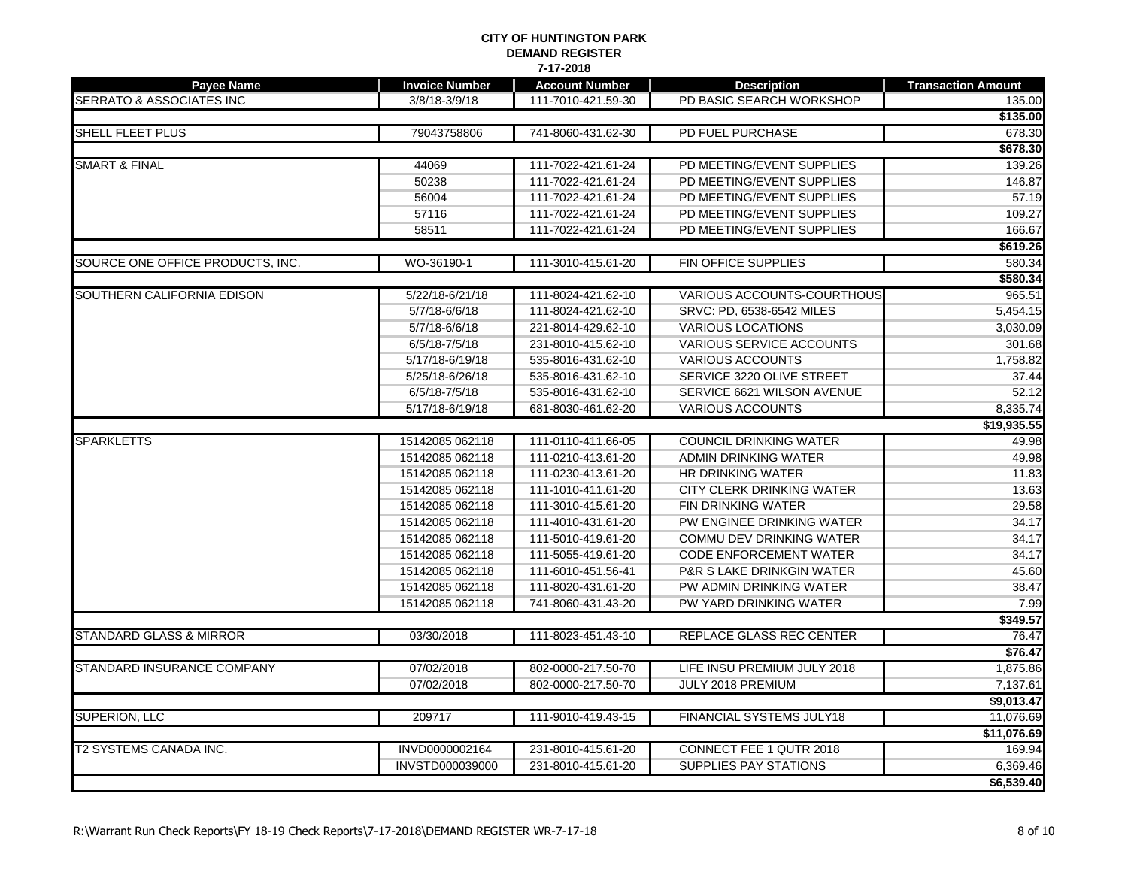| Payee Name                          | <b>Invoice Number</b> | <b>Account Number</b> | <b>Description</b>                   | <b>Transaction Amount</b> |
|-------------------------------------|-----------------------|-----------------------|--------------------------------------|---------------------------|
| <b>SERRATO &amp; ASSOCIATES INC</b> | $3/8/18 - 3/9/18$     | 111-7010-421.59-30    | PD BASIC SEARCH WORKSHOP             | 135.00                    |
|                                     |                       |                       |                                      | \$135.00                  |
| <b>SHELL FLEET PLUS</b>             | 79043758806           | 741-8060-431.62-30    | PD FUEL PURCHASE                     | 678.30                    |
|                                     |                       |                       |                                      | \$678.30                  |
| <b>SMART &amp; FINAL</b>            | 44069                 | 111-7022-421.61-24    | PD MEETING/EVENT SUPPLIES            | 139.26                    |
|                                     | 50238                 | 111-7022-421.61-24    | PD MEETING/EVENT SUPPLIES            | 146.87                    |
|                                     | 56004                 | 111-7022-421.61-24    | PD MEETING/EVENT SUPPLIES            | 57.19                     |
|                                     | 57116                 | 111-7022-421.61-24    | PD MEETING/EVENT SUPPLIES            | 109.27                    |
|                                     | 58511                 | 111-7022-421.61-24    | PD MEETING/EVENT SUPPLIES            | 166.67                    |
|                                     |                       |                       |                                      | \$619.26                  |
| SOURCE ONE OFFICE PRODUCTS, INC.    | WO-36190-1            | 111-3010-415.61-20    | <b>FIN OFFICE SUPPLIES</b>           | 580.34                    |
|                                     |                       |                       |                                      | \$580.34                  |
| SOUTHERN CALIFORNIA EDISON          | 5/22/18-6/21/18       | 111-8024-421.62-10    | <b>VARIOUS ACCOUNTS-COURTHOUS</b>    | 965.51                    |
|                                     | 5/7/18-6/6/18         | 111-8024-421.62-10    | SRVC: PD, 6538-6542 MILES            | 5,454.15                  |
|                                     | 5/7/18-6/6/18         | 221-8014-429.62-10    | <b>VARIOUS LOCATIONS</b>             | 3,030.09                  |
|                                     | 6/5/18-7/5/18         | 231-8010-415.62-10    | <b>VARIOUS SERVICE ACCOUNTS</b>      | 301.68                    |
|                                     | 5/17/18-6/19/18       | 535-8016-431.62-10    | <b>VARIOUS ACCOUNTS</b>              | 1,758.82                  |
|                                     | 5/25/18-6/26/18       | 535-8016-431.62-10    | SERVICE 3220 OLIVE STREET            | 37.44                     |
|                                     | 6/5/18-7/5/18         | 535-8016-431.62-10    | SERVICE 6621 WILSON AVENUE           | 52.12                     |
|                                     | 5/17/18-6/19/18       | 681-8030-461.62-20    | <b>VARIOUS ACCOUNTS</b>              | 8,335.74                  |
|                                     |                       |                       |                                      | \$19,935.55               |
| <b>SPARKLETTS</b>                   | 15142085 062118       | 111-0110-411.66-05    | <b>COUNCIL DRINKING WATER</b>        | 49.98                     |
|                                     | 15142085 062118       | 111-0210-413.61-20    | ADMIN DRINKING WATER                 | 49.98                     |
|                                     | 15142085 062118       | 111-0230-413.61-20    | HR DRINKING WATER                    | 11.83                     |
|                                     | 15142085 062118       | 111-1010-411.61-20    | CITY CLERK DRINKING WATER            | 13.63                     |
|                                     | 15142085 062118       | 111-3010-415.61-20    | <b>FIN DRINKING WATER</b>            | 29.58                     |
|                                     | 15142085 062118       | 111-4010-431.61-20    | PW ENGINEE DRINKING WATER            | 34.17                     |
|                                     | 15142085 062118       | 111-5010-419.61-20    | <b>COMMU DEV DRINKING WATER</b>      | 34.17                     |
|                                     | 15142085 062118       | 111-5055-419.61-20    | <b>CODE ENFORCEMENT WATER</b>        | 34.17                     |
|                                     | 15142085 062118       | 111-6010-451.56-41    | <b>P&amp;R S LAKE DRINKGIN WATER</b> | 45.60                     |
|                                     | 15142085 062118       | 111-8020-431.61-20    | PW ADMIN DRINKING WATER              | 38.47                     |
|                                     | 15142085 062118       | 741-8060-431.43-20    | PW YARD DRINKING WATER               | 7.99                      |
|                                     |                       |                       |                                      | \$349.57                  |
| <b>STANDARD GLASS &amp; MIRROR</b>  | 03/30/2018            | 111-8023-451.43-10    | REPLACE GLASS REC CENTER             | 76.47                     |
|                                     |                       |                       |                                      | \$76.47                   |
| STANDARD INSURANCE COMPANY          | 07/02/2018            | 802-0000-217.50-70    | LIFE INSU PREMIUM JULY 2018          | 1,875.86                  |
|                                     | 07/02/2018            | 802-0000-217.50-70    | JULY 2018 PREMIUM                    | 7,137.61                  |
|                                     |                       |                       |                                      | $\overline{39,013.47}$    |
| SUPERION, LLC                       | 209717                | 111-9010-419.43-15    | FINANCIAL SYSTEMS JULY18             | 11,076.69                 |
|                                     |                       |                       |                                      | \$11,076.69               |
| T2 SYSTEMS CANADA INC.              | INVD0000002164        | 231-8010-415.61-20    | CONNECT FEE 1 QUTR 2018              | 169.94                    |
|                                     | INVSTD000039000       | 231-8010-415.61-20    | <b>SUPPLIES PAY STATIONS</b>         | 6,369.46                  |
|                                     |                       |                       |                                      | \$6,539.40                |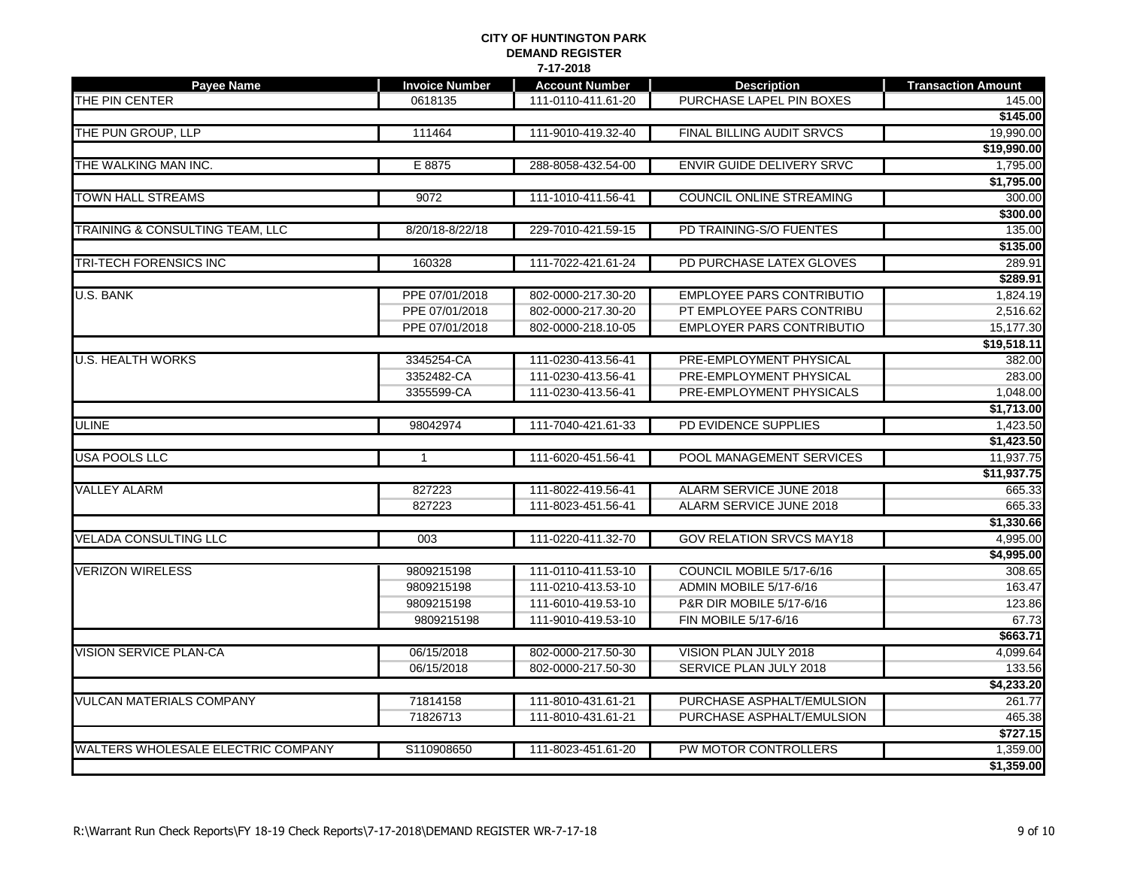| Payee Name                         | <b>Invoice Number</b> | <b>Account Number</b> | <b>Description</b>               | <b>Transaction Amount</b> |
|------------------------------------|-----------------------|-----------------------|----------------------------------|---------------------------|
| THE PIN CENTER                     | 0618135               | 111-0110-411.61-20    | PURCHASE LAPEL PIN BOXES         | 145.00                    |
|                                    |                       |                       |                                  | \$145.00                  |
| THE PUN GROUP, LLP                 | 111464                | 111-9010-419.32-40    | FINAL BILLING AUDIT SRVCS        | 19,990.00                 |
|                                    |                       |                       |                                  | \$19,990.00               |
| THE WALKING MAN INC.               | E 8875                | 288-8058-432.54-00    | <b>ENVIR GUIDE DELIVERY SRVC</b> | 1,795.00                  |
|                                    |                       |                       |                                  | \$1,795.00                |
| <b>TOWN HALL STREAMS</b>           | 9072                  | 111-1010-411.56-41    | <b>COUNCIL ONLINE STREAMING</b>  | 300.00                    |
|                                    |                       |                       |                                  | \$300.00                  |
| TRAINING & CONSULTING TEAM, LLC    | 8/20/18-8/22/18       | 229-7010-421.59-15    | PD TRAINING-S/O FUENTES          | 135.00                    |
|                                    |                       |                       |                                  | \$135.00                  |
| TRI-TECH FORENSICS INC             | 160328                | 111-7022-421.61-24    | PD PURCHASE LATEX GLOVES         | 289.91                    |
|                                    |                       |                       |                                  | \$289.91                  |
| <b>U.S. BANK</b>                   | PPE 07/01/2018        | 802-0000-217.30-20    | <b>EMPLOYEE PARS CONTRIBUTIO</b> | 1,824.19                  |
|                                    | PPE 07/01/2018        | 802-0000-217.30-20    | PT EMPLOYEE PARS CONTRIBU        | 2,516.62                  |
|                                    | PPE 07/01/2018        | 802-0000-218.10-05    | <b>EMPLOYER PARS CONTRIBUTIO</b> | 15,177.30                 |
|                                    |                       |                       |                                  | \$19,518.11               |
| U.S. HEALTH WORKS                  | 3345254-CA            | 111-0230-413.56-41    | PRE-EMPLOYMENT PHYSICAL          | 382.00                    |
|                                    | 3352482-CA            | 111-0230-413.56-41    | PRE-EMPLOYMENT PHYSICAL          | 283.00                    |
|                                    | 3355599-CA            | 111-0230-413.56-41    | PRE-EMPLOYMENT PHYSICALS         | 1,048.00                  |
|                                    |                       |                       |                                  | \$1,713.00                |
| <b>ULINE</b>                       | 98042974              | 111-7040-421.61-33    | PD EVIDENCE SUPPLIES             | 1,423.50                  |
|                                    |                       |                       |                                  | \$1,423.50                |
| <b>USA POOLS LLC</b>               | $\mathbf{1}$          | 111-6020-451.56-41    | POOL MANAGEMENT SERVICES         | 11,937.75                 |
|                                    |                       |                       |                                  | \$11,937.75               |
| <b>VALLEY ALARM</b>                | 827223                | 111-8022-419.56-41    | ALARM SERVICE JUNE 2018          | 665.33                    |
|                                    | 827223                | 111-8023-451.56-41    | ALARM SERVICE JUNE 2018          | 665.33                    |
|                                    |                       |                       |                                  | \$1,330.66                |
| <b>VELADA CONSULTING LLC</b>       | 003                   | 111-0220-411.32-70    | <b>GOV RELATION SRVCS MAY18</b>  | 4,995.00                  |
|                                    |                       |                       |                                  | \$4,995.00                |
| <b>VERIZON WIRELESS</b>            | 9809215198            | 111-0110-411.53-10    | COUNCIL MOBILE 5/17-6/16         | 308.65                    |
|                                    | 9809215198            | 111-0210-413.53-10    | ADMIN MOBILE 5/17-6/16           | 163.47                    |
|                                    | 9809215198            | 111-6010-419.53-10    | P&R DIR MOBILE 5/17-6/16         | 123.86                    |
|                                    | 9809215198            | 111-9010-419.53-10    | FIN MOBILE 5/17-6/16             | 67.73                     |
|                                    |                       |                       |                                  | \$663.71                  |
| VISION SERVICE PLAN-CA             | 06/15/2018            | 802-0000-217.50-30    | VISION PLAN JULY 2018            | 4,099.64                  |
|                                    | 06/15/2018            | 802-0000-217.50-30    | SERVICE PLAN JULY 2018           | 133.56                    |
|                                    |                       |                       |                                  | \$4,233.20                |
| <b>VULCAN MATERIALS COMPANY</b>    | 71814158              | 111-8010-431.61-21    | PURCHASE ASPHALT/EMULSION        | 261.77                    |
|                                    | 71826713              | 111-8010-431.61-21    | PURCHASE ASPHALT/EMULSION        | 465.38                    |
|                                    |                       |                       |                                  | \$727.15                  |
| WALTERS WHOLESALE ELECTRIC COMPANY | S110908650            | 111-8023-451.61-20    | PW MOTOR CONTROLLERS             | 1,359.00                  |
|                                    |                       |                       |                                  | \$1,359.00                |